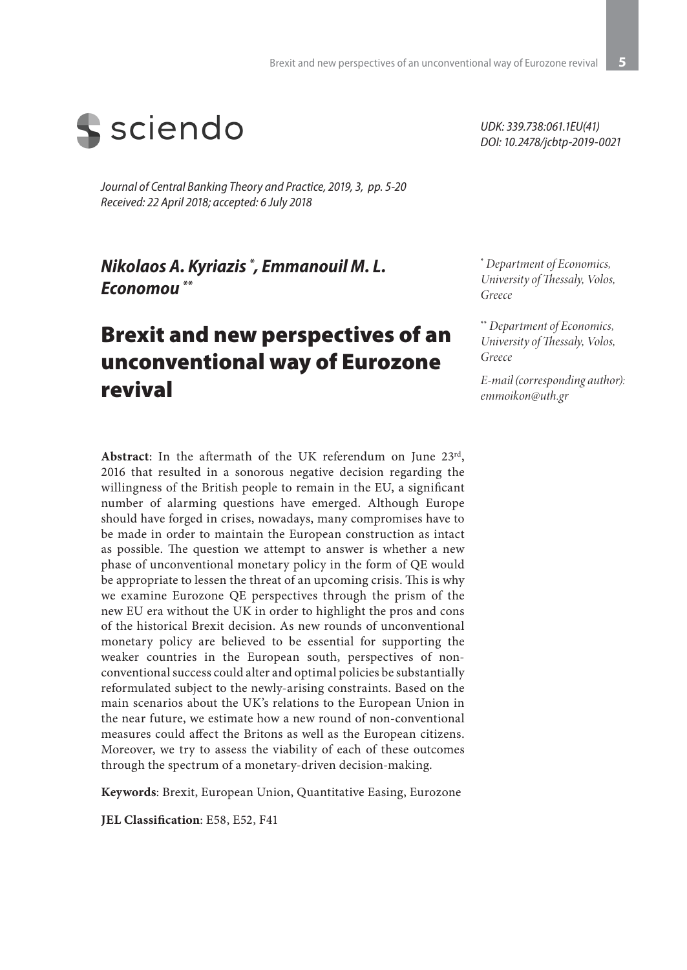

*Journal of Central Banking Theory and Practice, 2019, 3, pp. 5-20 Received: 22 April 2018; accepted: 6 July 2018*

*Νikolaos A. Kyriazis \* , Emmanouil M. L. Economou \*\**

# Brexit and new perspectives of an unconventional way of Eurozone revival

**Abstract**: In the aftermath of the UK referendum on June 23rd, 2016 that resulted in a sonorous negative decision regarding the willingness of the British people to remain in the EU, a significant number of alarming questions have emerged. Although Europe should have forged in crises, nowadays, many compromises have to be made in order to maintain the European construction as intact as possible. The question we attempt to answer is whether a new phase of unconventional monetary policy in the form of QE would be appropriate to lessen the threat of an upcoming crisis. This is why we examine Eurozone QE perspectives through the prism of the new EU era without the UK in order to highlight the pros and cons of the historical Brexit decision. As new rounds of unconventional monetary policy are believed to be essential for supporting the weaker countries in the European south, perspectives of nonconventional success could alter and optimal policies be substantially reformulated subject to the newly-arising constraints. Based on the main scenarios about the UK's relations to the European Union in the near future, we estimate how a new round of non-conventional measures could affect the Britons as well as the European citizens. Moreover, we try to assess the viability of each of these outcomes through the spectrum of a monetary-driven decision-making.

**Keywords**: Brexit, European Union, Quantitative Easing, Eurozone

**JEL Classification**: E58, E52, F41

*UDK: 339.738:061.1EU(41) DOI: 10.2478/jcbtp-2019-0021* 

**\***  *Department of Economics, University of Thessaly, Volos, Greece*

**\*\*** *Department of Economics, University of Thessaly, Volos, Greece*

*E-mail (corresponding author): emmoikon@uth.gr*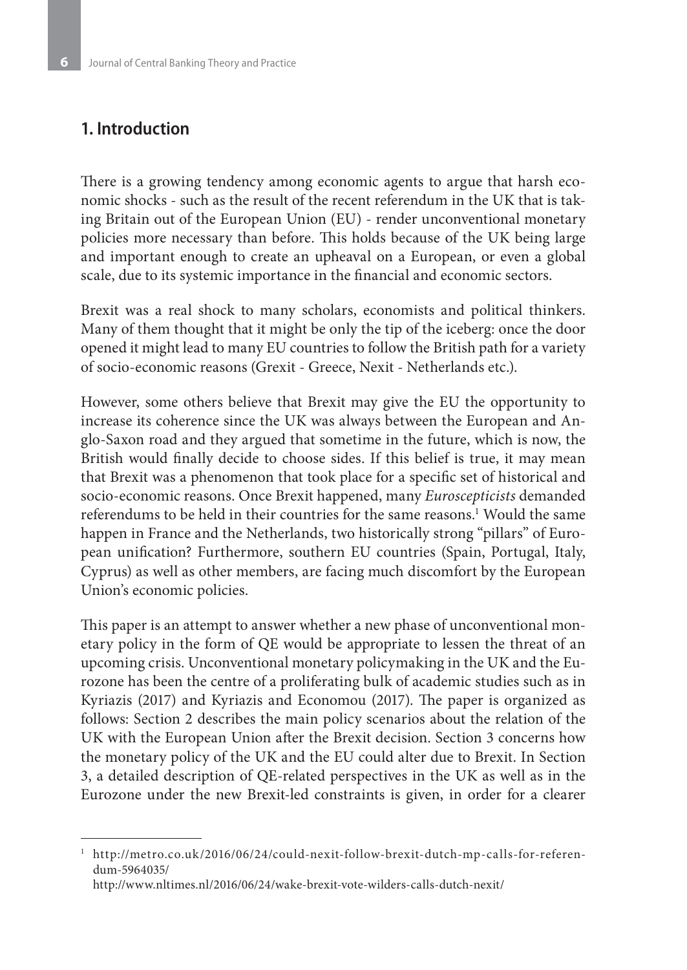#### **1. Introduction**

There is a growing tendency among economic agents to argue that harsh economic shocks - such as the result of the recent referendum in the UK that is taking Britain out of the European Union (EU) - render unconventional monetary policies more necessary than before. This holds because of the UK being large and important enough to create an upheaval on a European, or even a global scale, due to its systemic importance in the financial and economic sectors.

Brexit was a real shock to many scholars, economists and political thinkers. Many of them thought that it might be only the tip of the iceberg: once the door opened it might lead to many EU countries to follow the British path for a variety of socio-economic reasons (Grexit - Greece, Nexit - Netherlands etc.).

However, some others believe that Brexit may give the EU the opportunity to increase its coherence since the UK was always between the European and Anglo-Saxon road and they argued that sometime in the future, which is now, the British would finally decide to choose sides. If this belief is true, it may mean that Brexit was a phenomenon that took place for a specific set of historical and socio-economic reasons. Once Brexit happened, many *Euroscepticists* demanded referendums to be held in their countries for the same reasons.<sup>1</sup> Would the same happen in France and the Netherlands, two historically strong "pillars" of European unification? Furthermore, southern EU countries (Spain, Portugal, Italy, Cyprus) as well as other members, are facing much discomfort by the European Union's economic policies.

This paper is an attempt to answer whether a new phase of unconventional monetary policy in the form of QE would be appropriate to lessen the threat of an upcoming crisis. Unconventional monetary policymaking in the UK and the Eurozone has been the centre of a proliferating bulk of academic studies such as in Kyriazis (2017) and Kyriazis and Economou (2017). The paper is organized as follows: Section 2 describes the main policy scenarios about the relation of the UK with the European Union after the Brexit decision. Section 3 concerns how the monetary policy of the UK and the EU could alter due to Brexit. In Section 3, a detailed description of QE-related perspectives in the UK as well as in the Eurozone under the new Brexit-led constraints is given, in order for a clearer

http://www.nltimes.nl/2016/06/24/wake-brexit-vote-wilders-calls-dutch-nexit/

<sup>1</sup> http://metro.co.uk/2016/06/24/could-nexit-follow-brexit-dutch-mp-calls-for-referendum-5964035/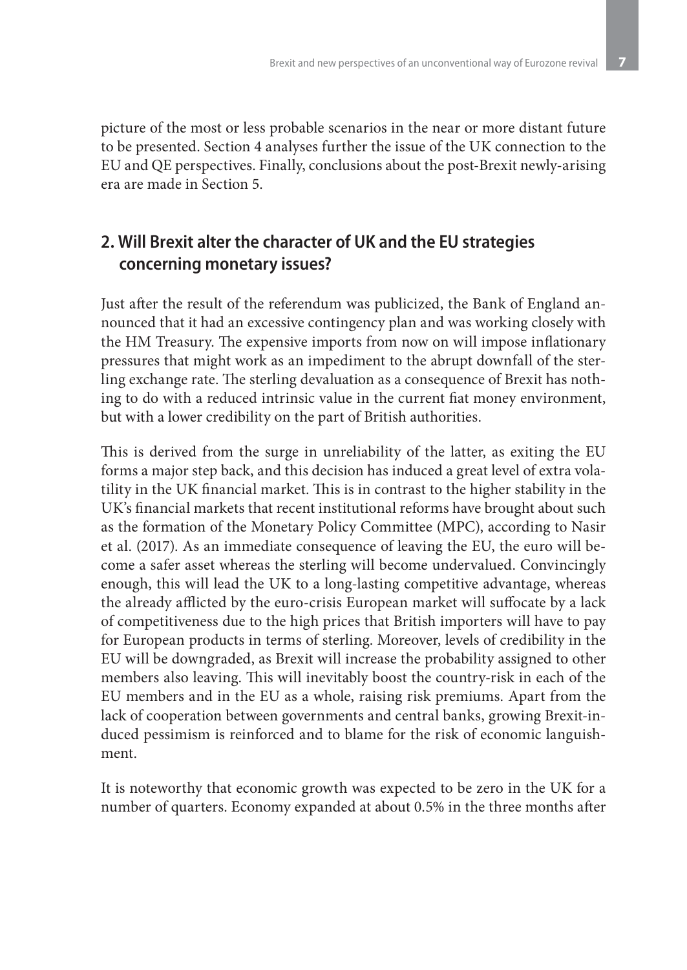picture of the most or less probable scenarios in the near or more distant future to be presented. Section 4 analyses further the issue of the UK connection to the EU and QE perspectives. Finally, conclusions about the post-Brexit newly-arising era are made in Section 5.

### **2. Will Brexit alter the character of UK and the EU strategies concerning monetary issues?**

Just after the result of the referendum was publicized, the Bank of England announced that it had an excessive contingency plan and was working closely with the HM Treasury. The expensive imports from now on will impose inflationary pressures that might work as an impediment to the abrupt downfall of the sterling exchange rate. The sterling devaluation as a consequence of Brexit has nothing to do with a reduced intrinsic value in the current fiat money environment, but with a lower credibility on the part of British authorities.

This is derived from the surge in unreliability of the latter, as exiting the EU forms a major step back, and this decision has induced a great level of extra volatility in the UK financial market. This is in contrast to the higher stability in the UK's financial markets that recent institutional reforms have brought about such as the formation of the Monetary Policy Committee (MPC), according to Nasir et al. (2017). As an immediate consequence of leaving the EU, the euro will become a safer asset whereas the sterling will become undervalued. Convincingly enough, this will lead the UK to a long-lasting competitive advantage, whereas the already afflicted by the euro-crisis European market will suffocate by a lack of competitiveness due to the high prices that British importers will have to pay for European products in terms of sterling. Moreover, levels of credibility in the EU will be downgraded, as Brexit will increase the probability assigned to other members also leaving. This will inevitably boost the country-risk in each of the EU members and in the EU as a whole, raising risk premiums. Apart from the lack of cooperation between governments and central banks, growing Brexit-induced pessimism is reinforced and to blame for the risk of economic languishment.

It is noteworthy that economic growth was expected to be zero in the UK for a number of quarters. Economy expanded at about 0.5% in the three months after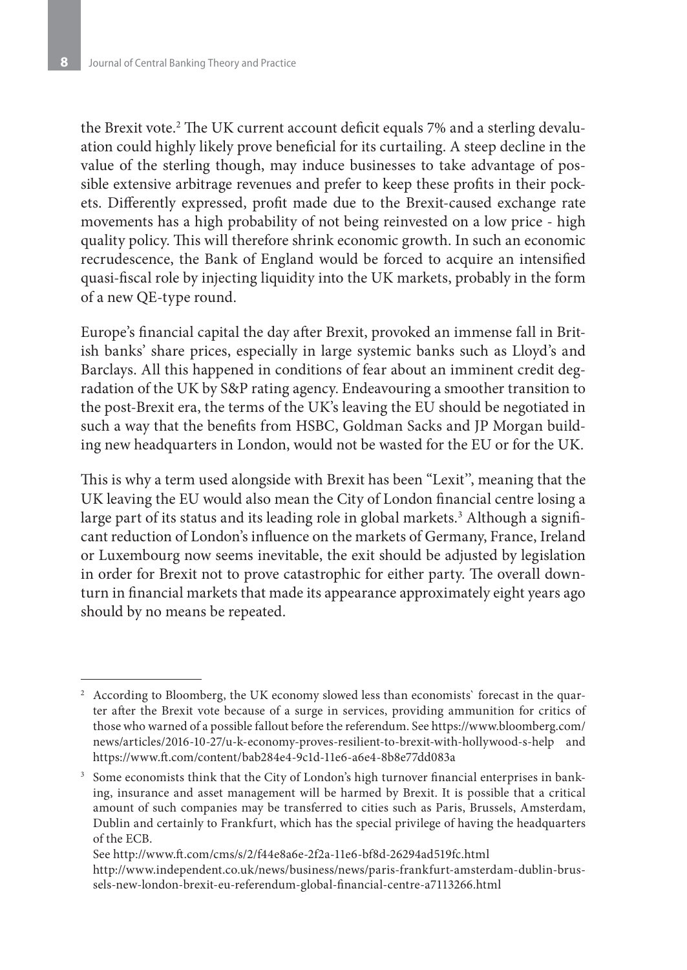the Brexit vote.2 The UK current account deficit equals 7% and a sterling devaluation could highly likely prove beneficial for its curtailing. A steep decline in the value of the sterling though, may induce businesses to take advantage of possible extensive arbitrage revenues and prefer to keep these profits in their pockets. Differently expressed, profit made due to the Brexit-caused exchange rate movements has a high probability of not being reinvested on a low price - high quality policy. This will therefore shrink economic growth. In such an economic recrudescence, the Bank of England would be forced to acquire an intensified quasi-fiscal role by injecting liquidity into the UK markets, probably in the form of a new QE-type round.

Europe's financial capital the day after Brexit, provoked an immense fall in British banks' share prices, especially in large systemic banks such as Lloyd's and Barclays. All this happened in conditions of fear about an imminent credit degradation of the UK by S&P rating agency. Endeavouring a smoother transition to the post-Brexit era, the terms of the UK's leaving the EU should be negotiated in such a way that the benefits from HSBC, Goldman Sacks and JP Morgan building new headquarters in London, would not be wasted for the EU or for the UK.

This is why a term used alongside with Brexit has been "Lexit'', meaning that the UK leaving the EU would also mean the City of London financial centre losing a large part of its status and its leading role in global markets.<sup>3</sup> Although a significant reduction of London's influence on the markets of Germany, France, Ireland or Luxembourg now seems inevitable, the exit should be adjusted by legislation in order for Brexit not to prove catastrophic for either party. The overall downturn in financial markets that made its appearance approximately eight years ago should by no means be repeated.

<sup>2</sup> According to Bloomberg, the UK economy slowed less than economists` forecast in the quarter after the Brexit vote because of a surge in services, providing ammunition for critics of those who warned of a possible fallout before the referendum. See https://www.bloomberg.com/ news/articles/2016-10-27/u-k-economy-proves-resilient-to-brexit-with-hollywood-s-help and https://www.ft.com/content/bab284e4-9c1d-11e6-a6e4-8b8e77dd083a

<sup>&</sup>lt;sup>3</sup> Some economists think that the City of London's high turnover financial enterprises in banking, insurance and asset management will be harmed by Brexit. It is possible that a critical amount of such companies may be transferred to cities such as Paris, Brussels, Amsterdam, Dublin and certainly to Frankfurt, which has the special privilege of having the headquarters of the ECB.

See http://www.ft.com/cms/s/2/f44e8a6e-2f2a-11e6-bf8d-26294ad519fc.html http://www.independent.co.uk/news/business/news/paris-frankfurt-amsterdam-dublin-brussels-new-london-brexit-eu-referendum-global-financial-centre-a7113266.html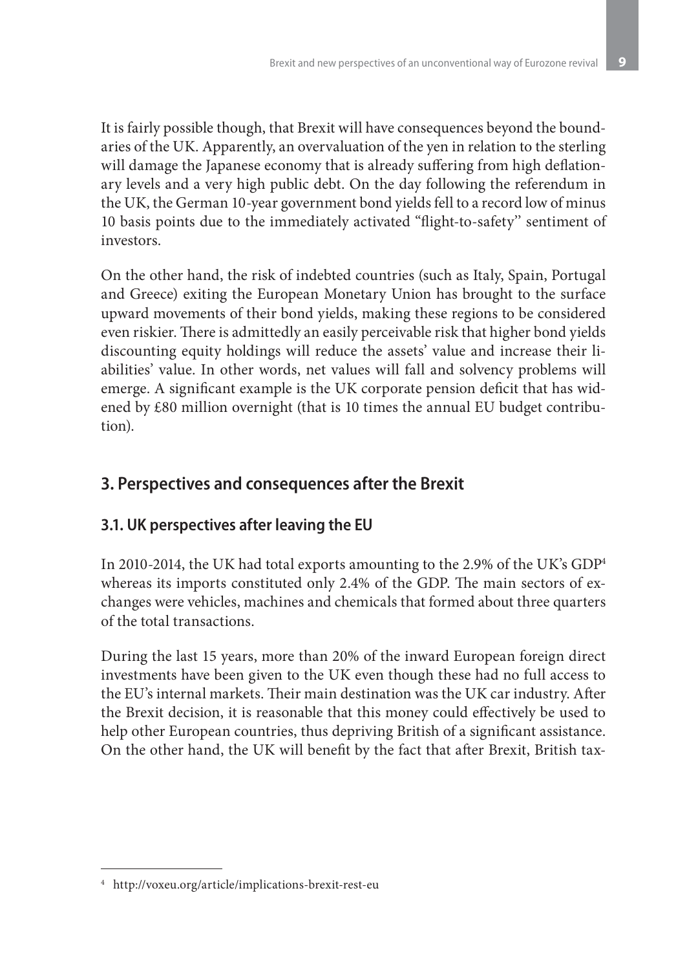It is fairly possible though, that Brexit will have consequences beyond the boundaries of the UK. Apparently, an overvaluation of the yen in relation to the sterling will damage the Japanese economy that is already suffering from high deflationary levels and a very high public debt. On the day following the referendum in the UK, the German 10-year government bond yields fell to a record low of minus 10 basis points due to the immediately activated "flight-to-safety'' sentiment of investors.

On the other hand, the risk of indebted countries (such as Italy, Spain, Portugal and Greece) exiting the European Monetary Union has brought to the surface upward movements of their bond yields, making these regions to be considered even riskier. There is admittedly an easily perceivable risk that higher bond yields discounting equity holdings will reduce the assets' value and increase their liabilities' value. In other words, net values will fall and solvency problems will emerge. A significant example is the UK corporate pension deficit that has widened by £80 million overnight (that is 10 times the annual EU budget contribution).

# **3. Perspectives and consequences after the Brexit**

### **3.1. UK perspectives after leaving the EU**

In 2010-2014, the UK had total exports amounting to the 2.9% of the UK's GDP4 whereas its imports constituted only 2.4% of the GDP. The main sectors of exchanges were vehicles, machines and chemicals that formed about three quarters of the total transactions.

During the last 15 years, more than 20% of the inward European foreign direct investments have been given to the UK even though these had no full access to the EU's internal markets. Their main destination was the UK car industry. After the Brexit decision, it is reasonable that this money could effectively be used to help other European countries, thus depriving British of a significant assistance. On the other hand, the UK will benefit by the fact that after Brexit, British tax-

<sup>4</sup> http://voxeu.org/article/implications-brexit-rest-eu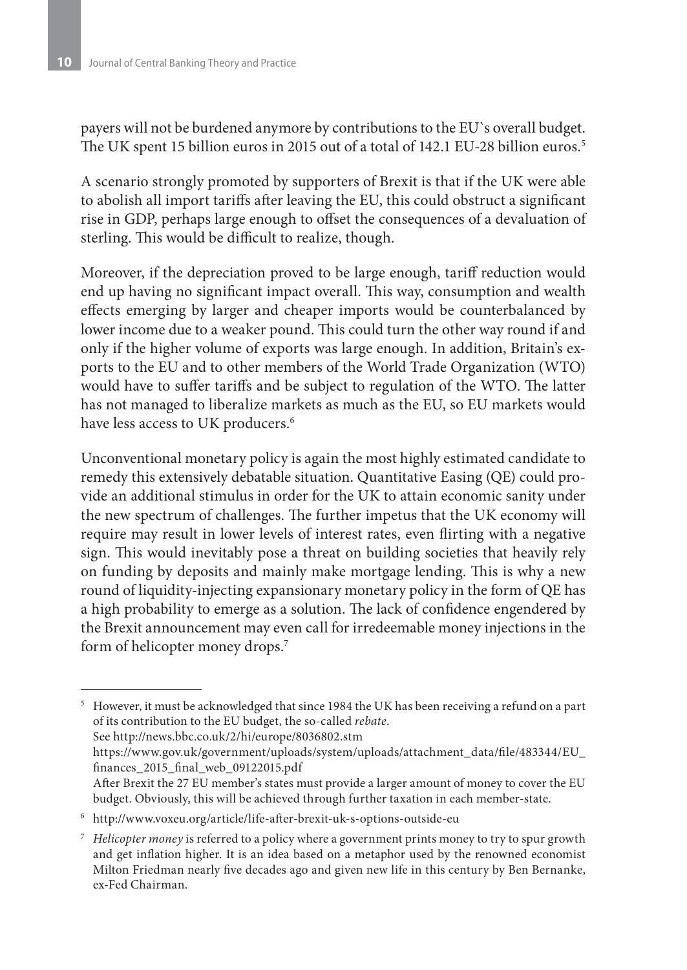payers will not be burdened anymore by contributions to the EU`s overall budget. The UK spent 15 billion euros in 2015 out of a total of 142.1 EU-28 billion euros.5

A scenario strongly promoted by supporters of Brexit is that if the UK were able to abolish all import tariffs after leaving the EU, this could obstruct a significant rise in GDP, perhaps large enough to offset the consequences of a devaluation of sterling. This would be difficult to realize, though.

Moreover, if the depreciation proved to be large enough, tariff reduction would end up having no significant impact overall. This way, consumption and wealth effects emerging by larger and cheaper imports would be counterbalanced by lower income due to a weaker pound. This could turn the other way round if and only if the higher volume of exports was large enough. In addition, Britain's exports to the EU and to other members of the World Trade Organization (WTO) would have to suffer tariffs and be subject to regulation of the WTO. The latter has not managed to liberalize markets as much as the EU, so EU markets would have less access to UK producers.<sup>6</sup>

Unconventional monetary policy is again the most highly estimated candidate to remedy this extensively debatable situation. Quantitative Easing (QE) could provide an additional stimulus in order for the UK to attain economic sanity under the new spectrum of challenges. The further impetus that the UK economy will require may result in lower levels of interest rates, even flirting with a negative sign. This would inevitably pose a threat on building societies that heavily rely on funding by deposits and mainly make mortgage lending. This is why a new round of liquidity-injecting expansionary monetary policy in the form of QE has a high probability to emerge as a solution. The lack of confidence engendered by the Brexit announcement may even call for irredeemable money injections in the form of helicopter money drops.<sup>7</sup>

<sup>5</sup> However, it must be acknowledged that since 1984 the UK has been receiving a refund on a part of its contribution to the EU budget, the so-called *rebate*. See http://news.bbc.co.uk/2/hi/europe/8036802.stm https://www.gov.uk/government/uploads/system/uploads/attachment\_data/file/483344/EU\_ finances\_2015\_final\_web\_09122015.pdf After Brexit the 27 EU member's states must provide a larger amount of money to cover the EU budget. Obviously, this will be achieved through further taxation in each member-state.

<sup>6</sup> http://www.voxeu.org/article/life-after-brexit-uk-s-options-outside-eu

<sup>7</sup> *Helicopter money* is referred to a policy where a government prints money to try to spur growth and get inflation higher. It is an idea based on a metaphor used by the renowned economist Milton Friedman nearly five decades ago and given new life in this century by Ben Bernanke, ex-Fed Chairman.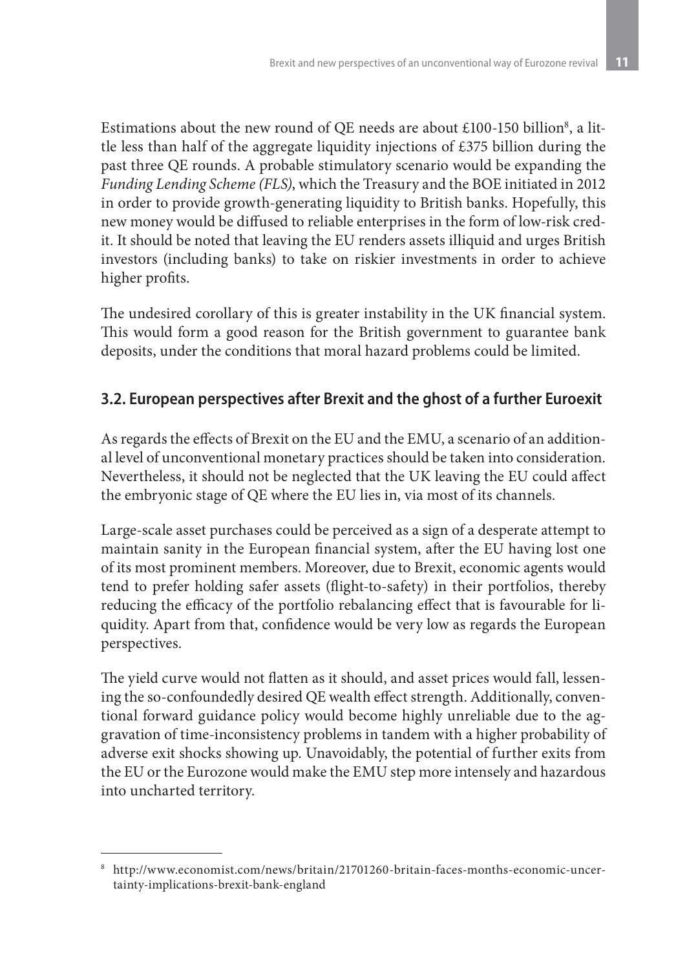Estimations about the new round of QE needs are about £100-150 billion<sup>8</sup>, a little less than half of the aggregate liquidity injections of £375 billion during the past three QE rounds. A probable stimulatory scenario would be expanding the *Funding Lending Scheme (FLS)*, which the Treasury and the BOE initiated in 2012 in order to provide growth-generating liquidity to British banks. Hopefully, this new money would be diffused to reliable enterprises in the form of low-risk credit. It should be noted that leaving the EU renders assets illiquid and urges British investors (including banks) to take on riskier investments in order to achieve higher profits.

The undesired corollary of this is greater instability in the UK financial system. This would form a good reason for the British government to guarantee bank deposits, under the conditions that moral hazard problems could be limited.

### **3.2. European perspectives after Brexit and the ghost of a further Euroexit**

As regards the effects of Brexit on the EU and the EMU, a scenario of an additional level of unconventional monetary practices should be taken into consideration. Nevertheless, it should not be neglected that the UK leaving the EU could affect the embryonic stage of QE where the EU lies in, via most of its channels.

Large-scale asset purchases could be perceived as a sign of a desperate attempt to maintain sanity in the European financial system, after the EU having lost one of its most prominent members. Moreover, due to Brexit, economic agents would tend to prefer holding safer assets (flight-to-safety) in their portfolios, thereby reducing the efficacy of the portfolio rebalancing effect that is favourable for liquidity. Apart from that, confidence would be very low as regards the European perspectives.

The yield curve would not flatten as it should, and asset prices would fall, lessening the so-confoundedly desired QE wealth effect strength. Additionally, conventional forward guidance policy would become highly unreliable due to the aggravation of time-inconsistency problems in tandem with a higher probability of adverse exit shocks showing up. Unavoidably, the potential of further exits from the EU or the Eurozone would make the EMU step more intensely and hazardous into uncharted territory.

<sup>8</sup> http://www.economist.com/news/britain/21701260-britain-faces-months-economic-uncertainty-implications-brexit-bank-england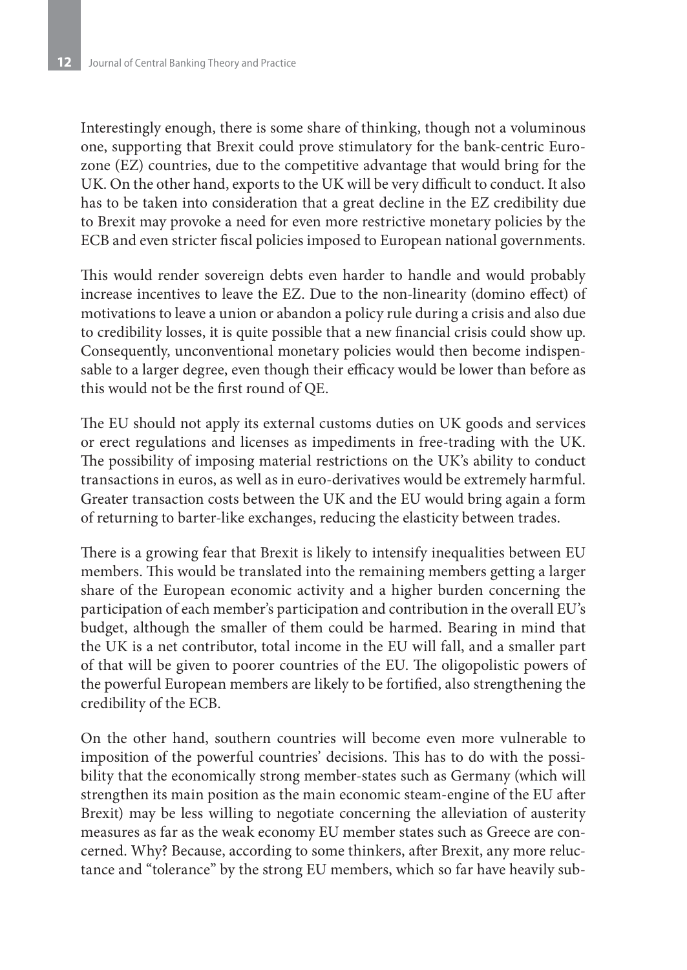Interestingly enough, there is some share of thinking, though not a voluminous one, supporting that Brexit could prove stimulatory for the bank-centric Eurozone (EZ) countries, due to the competitive advantage that would bring for the UK. On the other hand, exports to the UK will be very difficult to conduct. It also has to be taken into consideration that a great decline in the EZ credibility due to Brexit may provoke a need for even more restrictive monetary policies by the ECB and even stricter fiscal policies imposed to European national governments.

This would render sovereign debts even harder to handle and would probably increase incentives to leave the EZ. Due to the non-linearity (domino effect) of motivations to leave a union or abandon a policy rule during a crisis and also due to credibility losses, it is quite possible that a new financial crisis could show up. Consequently, unconventional monetary policies would then become indispensable to a larger degree, even though their efficacy would be lower than before as this would not be the first round of QE.

The EU should not apply its external customs duties on UK goods and services or erect regulations and licenses as impediments in free-trading with the UK. The possibility of imposing material restrictions on the UK's ability to conduct transactions in euros, as well as in euro-derivatives would be extremely harmful. Greater transaction costs between the UK and the EU would bring again a form of returning to barter-like exchanges, reducing the elasticity between trades.

There is a growing fear that Brexit is likely to intensify inequalities between EU members. This would be translated into the remaining members getting a larger share of the European economic activity and a higher burden concerning the participation of each member's participation and contribution in the overall EU's budget, although the smaller of them could be harmed. Bearing in mind that the UK is a net contributor, total income in the EU will fall, and a smaller part of that will be given to poorer countries of the EU. The oligopolistic powers of the powerful European members are likely to be fortified, also strengthening the credibility of the ECB.

On the other hand, southern countries will become even more vulnerable to imposition of the powerful countries' decisions. This has to do with the possibility that the economically strong member-states such as Germany (which will strengthen its main position as the main economic steam-engine of the EU after Brexit) may be less willing to negotiate concerning the alleviation of austerity measures as far as the weak economy EU member states such as Greece are concerned. Why? Because, according to some thinkers, after Brexit, any more reluctance and "tolerance" by the strong EU members, which so far have heavily sub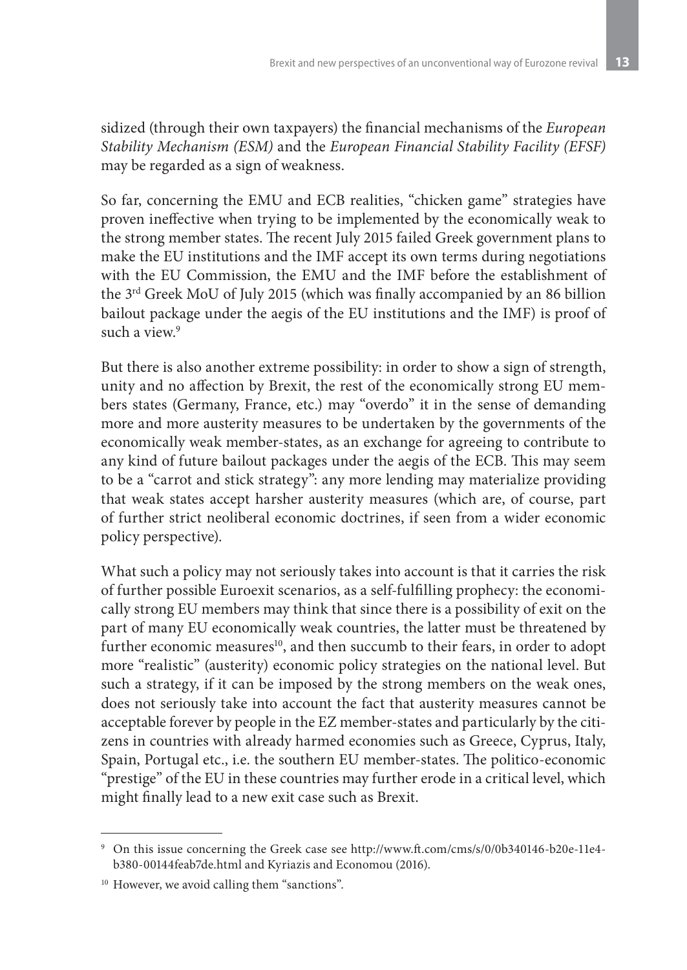sidized (through their own taxpayers) the financial mechanisms of the *European Stability Mechanism (ESM)* and the *European Financial Stability Facility (EFSF)* may be regarded as a sign of weakness.

So far, concerning the EMU and ECB realities, "chicken game" strategies have proven ineffective when trying to be implemented by the economically weak to the strong member states. The recent July 2015 failed Greek government plans to make the EU institutions and the IMF accept its own terms during negotiations with the EU Commission, the EMU and the IMF before the establishment of the 3rd Greek MoU of July 2015 (which was finally accompanied by an 86 billion bailout package under the aegis of the EU institutions and the IMF) is proof of such a view $9$ 

But there is also another extreme possibility: in order to show a sign of strength, unity and no affection by Brexit, the rest of the economically strong EU members states (Germany, France, etc.) may "overdo" it in the sense of demanding more and more austerity measures to be undertaken by the governments of the economically weak member-states, as an exchange for agreeing to contribute to any kind of future bailout packages under the aegis of the ECB. This may seem to be a "carrot and stick strategy": any more lending may materialize providing that weak states accept harsher austerity measures (which are, of course, part of further strict neoliberal economic doctrines, if seen from a wider economic policy perspective).

What such a policy may not seriously takes into account is that it carries the risk of further possible Euroexit scenarios, as a self-fulfilling prophecy: the economically strong EU members may think that since there is a possibility of exit on the part of many EU economically weak countries, the latter must be threatened by further economic measures<sup>10</sup>, and then succumb to their fears, in order to adopt more "realistic" (austerity) economic policy strategies on the national level. But such a strategy, if it can be imposed by the strong members on the weak ones, does not seriously take into account the fact that austerity measures cannot be acceptable forever by people in the EZ member-states and particularly by the citizens in countries with already harmed economies such as Greece, Cyprus, Italy, Spain, Portugal etc., i.e. the southern EU member-states. The politico-economic "prestige" of the EU in these countries may further erode in a critical level, which might finally lead to a new exit case such as Brexit.

<sup>9</sup> On this issue concerning the Greek case see http://www.ft.com/cms/s/0/0b340146-b20e-11e4 b380-00144feab7de.html and Kyriazis and Economou (2016).

<sup>&</sup>lt;sup>10</sup> However, we avoid calling them "sanctions".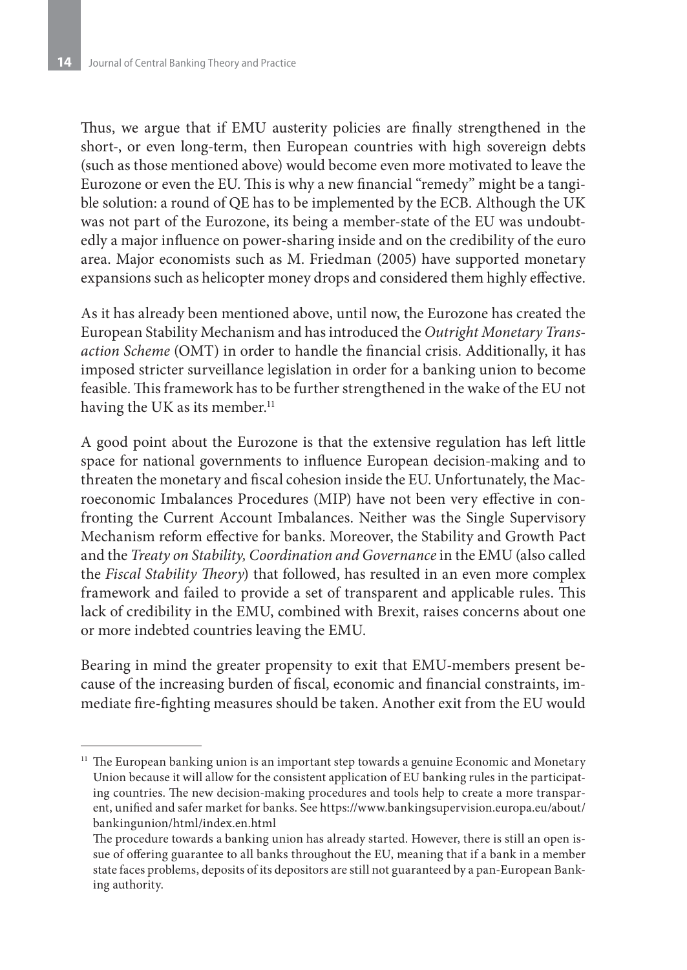Thus, we argue that if EMU austerity policies are finally strengthened in the short-, or even long-term, then European countries with high sovereign debts (such as those mentioned above) would become even more motivated to leave the Eurozone or even the EU. This is why a new financial "remedy" might be a tangible solution: a round of QE has to be implemented by the ECB. Although the UK was not part of the Eurozone, its being a member-state of the EU was undoubtedly a major influence on power-sharing inside and on the credibility of the euro area. Major economists such as M. Friedman (2005) have supported monetary expansions such as helicopter money drops and considered them highly effective.

As it has already been mentioned above, until now, the Eurozone has created the European Stability Mechanism and has introduced the *Outright Monetary Transaction Scheme* (OMT) in order to handle the financial crisis. Additionally, it has imposed stricter surveillance legislation in order for a banking union to become feasible. This framework has to be further strengthened in the wake of the EU not having the UK as its member.<sup>11</sup>

A good point about the Eurozone is that the extensive regulation has left little space for national governments to influence European decision-making and to threaten the monetary and fiscal cohesion inside the EU. Unfortunately, the Macroeconomic Imbalances Procedures (MIP) have not been very effective in confronting the Current Account Imbalances. Neither was the Single Supervisory Mechanism reform effective for banks. Moreover, the Stability and Growth Pact and the *Treaty on Stability, Coordination and Governance* in the EMU (also called the *Fiscal Stability Theory*) that followed, has resulted in an even more complex framework and failed to provide a set of transparent and applicable rules. This lack of credibility in the EMU, combined with Brexit, raises concerns about one or more indebted countries leaving the EMU.

Bearing in mind the greater propensity to exit that EMU-members present because of the increasing burden of fiscal, economic and financial constraints, immediate fire-fighting measures should be taken. Another exit from the EU would

<sup>&</sup>lt;sup>11</sup> The European banking union is an important step towards a genuine Economic and Monetary Union because it will allow for the consistent application of EU banking rules in the participating countries. The new decision-making procedures and tools help to create a more transparent, unified and safer market for banks. See https://www.bankingsupervision.europa.eu/about/ bankingunion/html/index.en.html

The procedure towards a banking union has already started. However, there is still an open issue of offering guarantee to all banks throughout the EU, meaning that if a bank in a member state faces problems, deposits of its depositors are still not guaranteed by a pan-European Banking authority.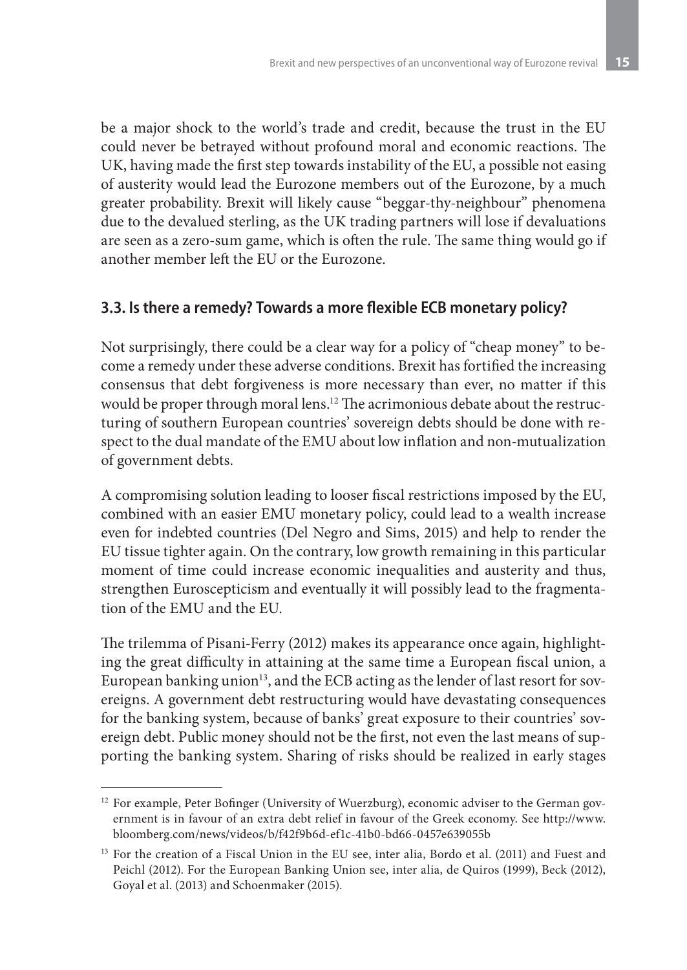be a major shock to the world's trade and credit, because the trust in the EU could never be betrayed without profound moral and economic reactions. The UK, having made the first step towards instability of the EU, a possible not easing of austerity would lead the Eurozone members out of the Eurozone, by a much greater probability. Brexit will likely cause "beggar-thy-neighbour" phenomena due to the devalued sterling, as the UK trading partners will lose if devaluations are seen as a zero-sum game, which is often the rule. The same thing would go if another member left the EU or the Eurozone.

#### **3.3. Is there a remedy? Towards a more flexible ECB monetary policy?**

Not surprisingly, there could be a clear way for a policy of "cheap money" to become a remedy under these adverse conditions. Brexit has fortified the increasing consensus that debt forgiveness is more necessary than ever, no matter if this would be proper through moral lens.12 The acrimonious debate about the restructuring of southern European countries' sovereign debts should be done with respect to the dual mandate of the EMU about low inflation and non-mutualization of government debts.

A compromising solution leading to looser fiscal restrictions imposed by the EU, combined with an easier EMU monetary policy, could lead to a wealth increase even for indebted countries (Del Negro and Sims, 2015) and help to render the EU tissue tighter again. On the contrary, low growth remaining in this particular moment of time could increase economic inequalities and austerity and thus, strengthen Euroscepticism and eventually it will possibly lead to the fragmentation of the EMU and the EU.

The trilemma of Pisani-Ferry (2012) makes its appearance once again, highlighting the great difficulty in attaining at the same time a European fiscal union, a European banking union<sup>13</sup>, and the ECB acting as the lender of last resort for sovereigns. A government debt restructuring would have devastating consequences for the banking system, because of banks' great exposure to their countries' sovereign debt. Public money should not be the first, not even the last means of supporting the banking system. Sharing of risks should be realized in early stages

<sup>&</sup>lt;sup>12</sup> For example, Peter Bofinger (University of Wuerzburg), economic adviser to the German government is in favour of an extra debt relief in favour of the Greek economy. See http://www. bloomberg.com/news/videos/b/f42f9b6d-ef1c-41b0-bd66-0457e639055b

<sup>&</sup>lt;sup>13</sup> For the creation of a Fiscal Union in the EU see, inter alia, Bordo et al. (2011) and Fuest and Peichl (2012). For the European Banking Union see, inter alia, de Quiros (1999), Beck (2012), Goyal et al. (2013) and Schoenmaker (2015).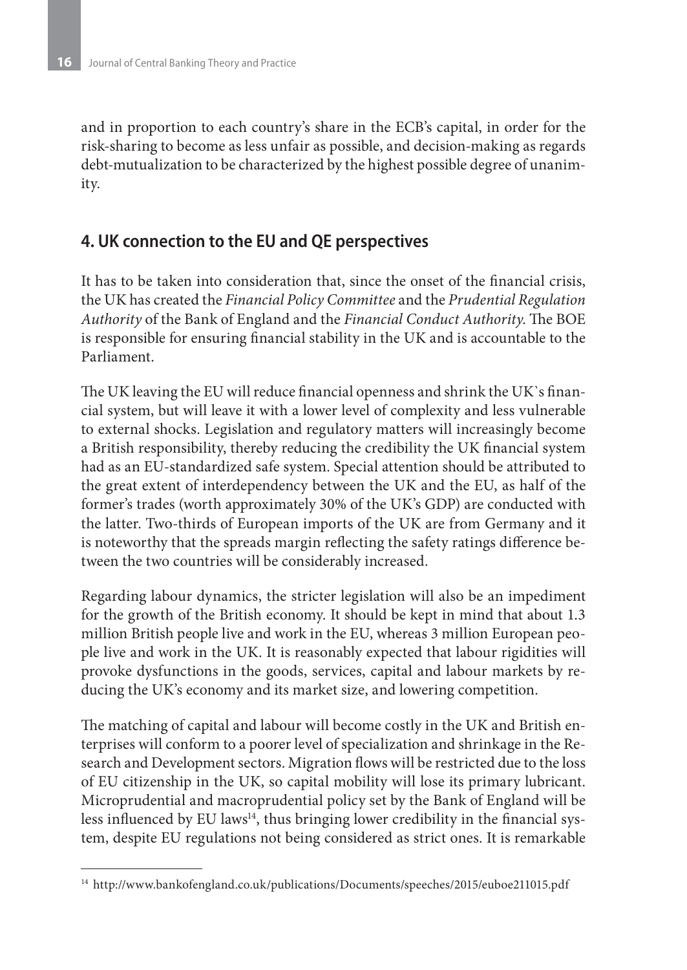and in proportion to each country's share in the ECB's capital, in order for the risk-sharing to become as less unfair as possible, and decision-making as regards debt-mutualization to be characterized by the highest possible degree of unanimity.

## **4. UK connection to the EU and QE perspectives**

It has to be taken into consideration that, since the onset of the financial crisis, the UK has created the *Financial Policy Committee* and the *Prudential Regulation Authority* of the Bank of England and the *Financial Conduct Authority*. The BOE is responsible for ensuring financial stability in the UK and is accountable to the Parliament.

The UK leaving the EU will reduce financial openness and shrink the UK`s financial system, but will leave it with a lower level of complexity and less vulnerable to external shocks. Legislation and regulatory matters will increasingly become a British responsibility, thereby reducing the credibility the UK financial system had as an EU-standardized safe system. Special attention should be attributed to the great extent of interdependency between the UK and the EU, as half of the former's trades (worth approximately 30% of the UK's GDP) are conducted with the latter. Two-thirds of European imports of the UK are from Germany and it is noteworthy that the spreads margin reflecting the safety ratings difference between the two countries will be considerably increased.

Regarding labour dynamics, the stricter legislation will also be an impediment for the growth of the British economy. It should be kept in mind that about 1.3 million British people live and work in the EU, whereas 3 million European people live and work in the UK. It is reasonably expected that labour rigidities will provoke dysfunctions in the goods, services, capital and labour markets by reducing the UK's economy and its market size, and lowering competition.

The matching of capital and labour will become costly in the UK and British enterprises will conform to a poorer level of specialization and shrinkage in the Research and Development sectors. Migration flows will be restricted due to the loss of EU citizenship in the UK, so capital mobility will lose its primary lubricant. Microprudential and macroprudential policy set by the Bank of England will be less influenced by EU laws<sup>14</sup>, thus bringing lower credibility in the financial system, despite EU regulations not being considered as strict ones. It is remarkable

<sup>&</sup>lt;sup>14</sup> http://www.bankofengland.co.uk/publications/Documents/speeches/2015/euboe211015.pdf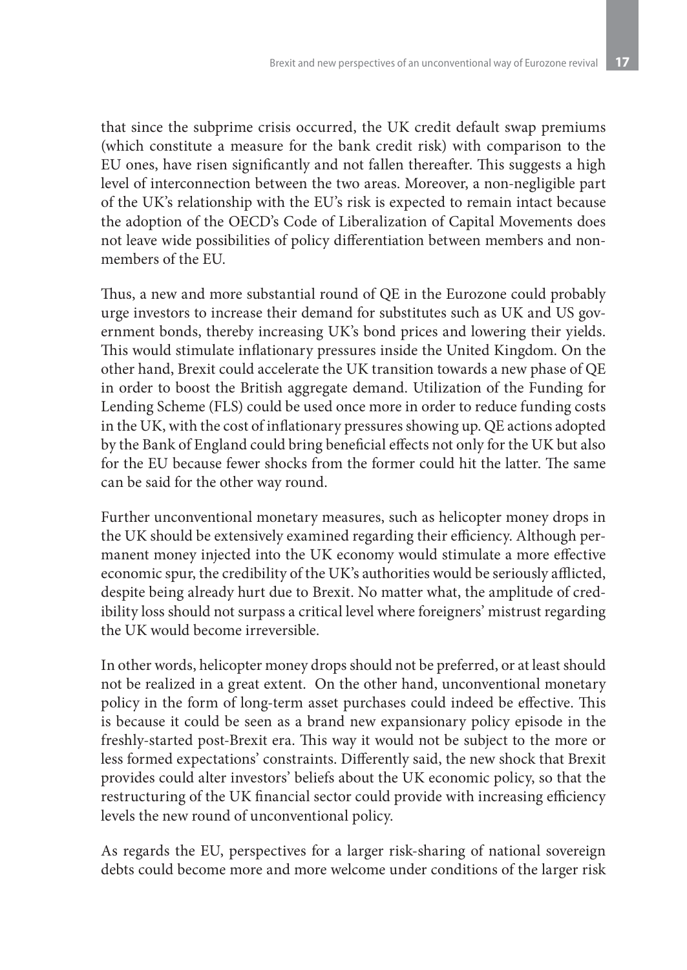that since the subprime crisis occurred, the UK credit default swap premiums (which constitute a measure for the bank credit risk) with comparison to the EU ones, have risen significantly and not fallen thereafter. This suggests a high level of interconnection between the two areas. Moreover, a non-negligible part of the UK's relationship with the EU's risk is expected to remain intact because the adoption of the OECD's Code of Liberalization of Capital Movements does not leave wide possibilities of policy differentiation between members and nonmembers of the EU.

Thus, a new and more substantial round of QE in the Eurozone could probably urge investors to increase their demand for substitutes such as UK and US government bonds, thereby increasing UK's bond prices and lowering their yields. This would stimulate inflationary pressures inside the United Kingdom. On the other hand, Brexit could accelerate the UK transition towards a new phase of QE in order to boost the British aggregate demand. Utilization of the Funding for Lending Scheme (FLS) could be used once more in order to reduce funding costs in the UK, with the cost of inflationary pressures showing up. QE actions adopted by the Bank of England could bring beneficial effects not only for the UK but also for the EU because fewer shocks from the former could hit the latter. The same can be said for the other way round.

Further unconventional monetary measures, such as helicopter money drops in the UK should be extensively examined regarding their efficiency. Although permanent money injected into the UK economy would stimulate a more effective economic spur, the credibility of the UK's authorities would be seriously afflicted, despite being already hurt due to Brexit. No matter what, the amplitude of credibility loss should not surpass a critical level where foreigners' mistrust regarding the UK would become irreversible.

In other words, helicopter money drops should not be preferred, or at least should not be realized in a great extent. On the other hand, unconventional monetary policy in the form of long-term asset purchases could indeed be effective. This is because it could be seen as a brand new expansionary policy episode in the freshly-started post-Brexit era. This way it would not be subject to the more or less formed expectations' constraints. Differently said, the new shock that Brexit provides could alter investors' beliefs about the UK economic policy, so that the restructuring of the UK financial sector could provide with increasing efficiency levels the new round of unconventional policy.

As regards the EU, perspectives for a larger risk-sharing of national sovereign debts could become more and more welcome under conditions of the larger risk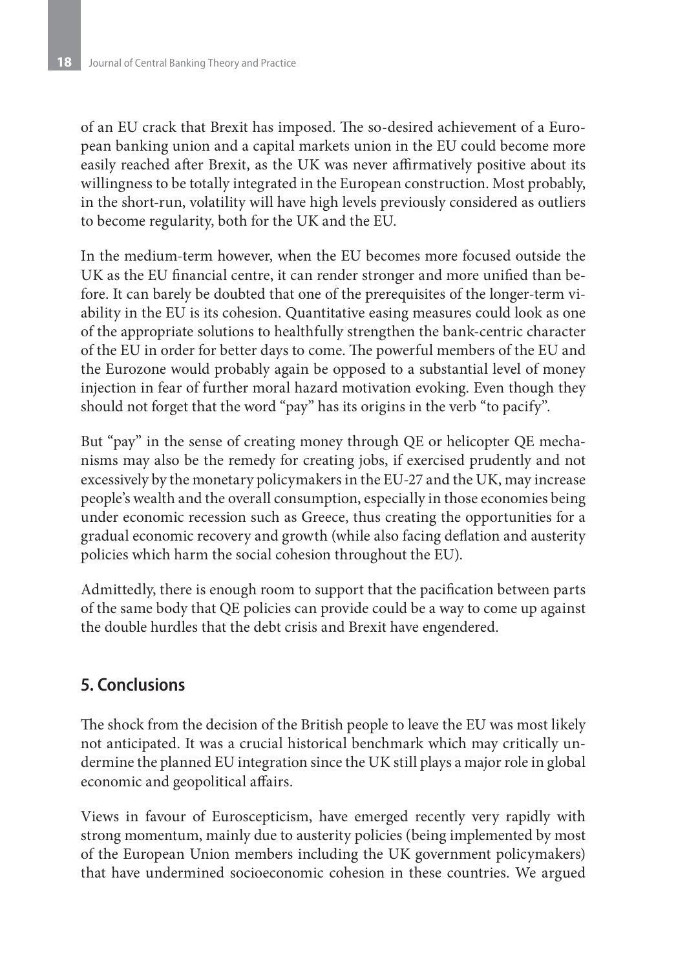of an EU crack that Brexit has imposed. The so-desired achievement of a European banking union and a capital markets union in the EU could become more easily reached after Brexit, as the UK was never affirmatively positive about its willingness to be totally integrated in the European construction. Most probably, in the short-run, volatility will have high levels previously considered as outliers to become regularity, both for the UK and the EU.

In the medium-term however, when the EU becomes more focused outside the UK as the EU financial centre, it can render stronger and more unified than before. It can barely be doubted that one of the prerequisites of the longer-term viability in the EU is its cohesion. Quantitative easing measures could look as one of the appropriate solutions to healthfully strengthen the bank-centric character of the EU in order for better days to come. The powerful members of the EU and the Eurozone would probably again be opposed to a substantial level of money injection in fear of further moral hazard motivation evoking. Even though they should not forget that the word "pay" has its origins in the verb "to pacify".

But "pay" in the sense of creating money through QE or helicopter QE mechanisms may also be the remedy for creating jobs, if exercised prudently and not excessively by the monetary policymakers in the EU-27 and the UK, may increase people's wealth and the overall consumption, especially in those economies being under economic recession such as Greece, thus creating the opportunities for a gradual economic recovery and growth (while also facing deflation and austerity policies which harm the social cohesion throughout the EU).

Admittedly, there is enough room to support that the pacification between parts of the same body that QE policies can provide could be a way to come up against the double hurdles that the debt crisis and Brexit have engendered.

#### **5. Conclusions**

The shock from the decision of the British people to leave the EU was most likely not anticipated. It was a crucial historical benchmark which may critically undermine the planned EU integration since the UK still plays a major role in global economic and geopolitical affairs.

Views in favour of Euroscepticism, have emerged recently very rapidly with strong momentum, mainly due to austerity policies (being implemented by most of the European Union members including the UK government policymakers) that have undermined socioeconomic cohesion in these countries. We argued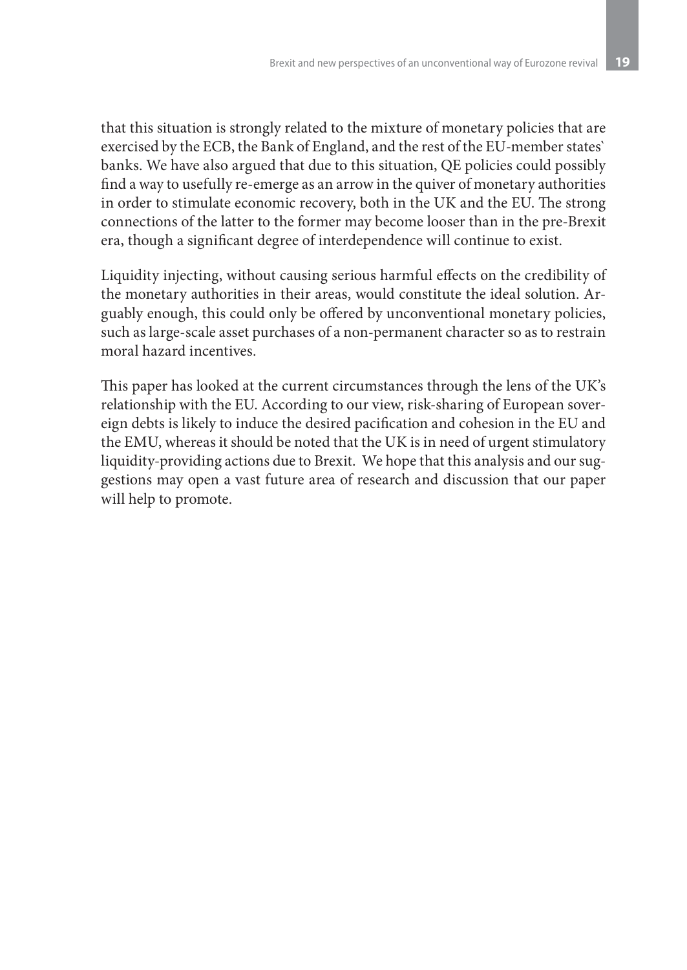that this situation is strongly related to the mixture of monetary policies that are exercised by the ECB, the Bank of England, and the rest of the EU-member states` banks. We have also argued that due to this situation, QE policies could possibly find a way to usefully re-emerge as an arrow in the quiver of monetary authorities in order to stimulate economic recovery, both in the UK and the EU. The strong connections of the latter to the former may become looser than in the pre-Brexit era, though a significant degree of interdependence will continue to exist.

Liquidity injecting, without causing serious harmful effects on the credibility of the monetary authorities in their areas, would constitute the ideal solution. Arguably enough, this could only be offered by unconventional monetary policies, such as large-scale asset purchases of a non-permanent character so as to restrain moral hazard incentives.

This paper has looked at the current circumstances through the lens of the UK's relationship with the EU. According to our view, risk-sharing of European sovereign debts is likely to induce the desired pacification and cohesion in the EU and the EMU, whereas it should be noted that the UK is in need of urgent stimulatory liquidity-providing actions due to Brexit. We hope that this analysis and our suggestions may open a vast future area of research and discussion that our paper will help to promote.